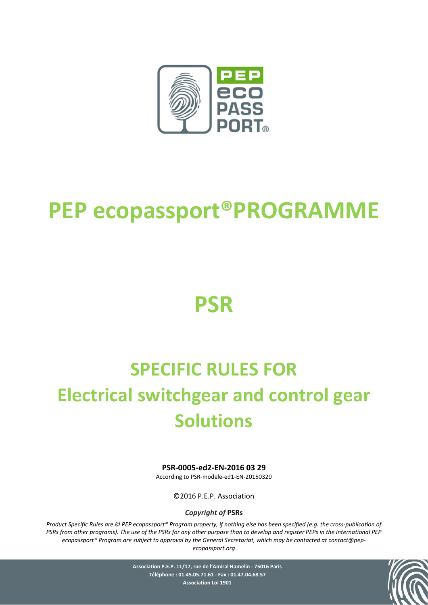

# **PEP ecopassport®PROGRAMME**

# **PSR**

# **SPECIFIC RULES FOR Electrical switchgear and control gear Solutions**

#### **PSR-0005-ed2-EN-2016 03 29**

According to PSR-modele-ed1-EN-20150320

©2016 P.E.P. Association

*Copyright of* **PSRs**

*Product Specific Rules are © PEP ecopassport® Program property, if nothing else has been specified (e.g. the cross-publication of PSRs from other programs). The use of the PSRs for any other purpose than to develop and register PEPs in the International PEP ecopassport® Program are subject to approval by the General Secretariat, which may be contacted at contact@pepecopassport.org* 



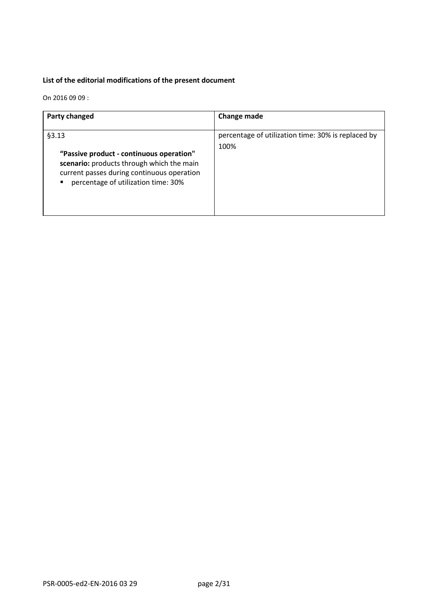#### **List of the editorial modifications of the present document**

On 2016 09 09 :

| Party changed                                                                                                                                                                       | <b>Change made</b>                                         |
|-------------------------------------------------------------------------------------------------------------------------------------------------------------------------------------|------------------------------------------------------------|
| §3.13<br>"Passive product - continuous operation"<br>scenario: products through which the main<br>current passes during continuous operation<br>percentage of utilization time: 30% | percentage of utilization time: 30% is replaced by<br>100% |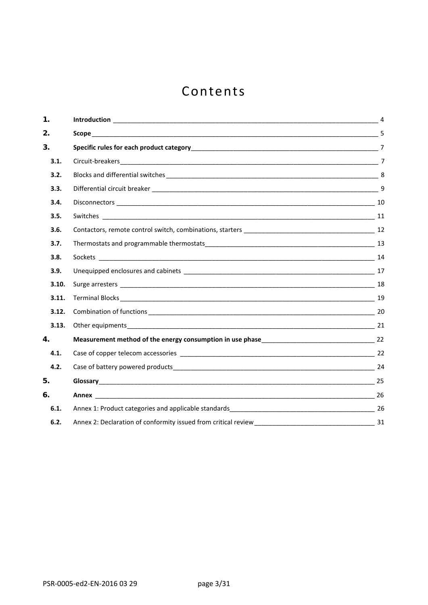# Contents

| 1.    | 4              |
|-------|----------------|
| 2.    |                |
| 3.    | $\overline{7}$ |
| 3.1.  |                |
| 3.2.  |                |
| 3.3.  |                |
| 3.4.  |                |
| 3.5.  |                |
| 3.6.  |                |
| 3.7.  |                |
| 3.8.  |                |
| 3.9.  |                |
| 3.10. |                |
| 3.11. |                |
| 3.12. |                |
| 3.13. |                |
| 4.    |                |
| 4.1.  |                |
| 4.2.  |                |
| 5.    |                |
| 6.    |                |
| 6.1.  |                |
| 6.2.  |                |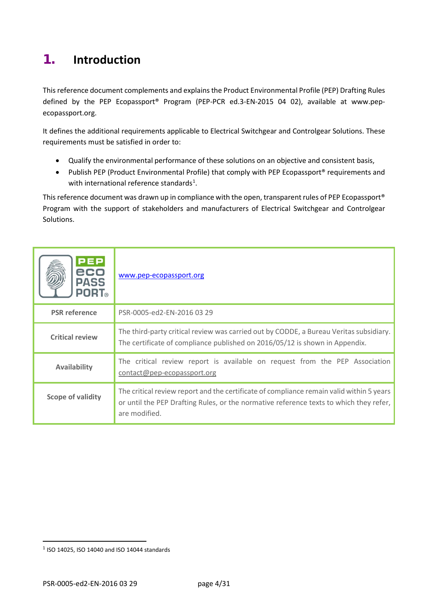# <span id="page-3-0"></span>**1. Introduction**

This reference document complements and explains the Product Environmental Profile (PEP) Drafting Rules defined by the PEP Ecopassport® Program (PEP-PCR ed.3-EN-2015 04 02), available at [www.pep](http://www.pep-ecopassport.org/)[ecopassport.org.](http://www.pep-ecopassport.org/)

It defines the additional requirements applicable to Electrical Switchgear and Controlgear Solutions. These requirements must be satisfied in order to:

- Qualify the environmental performance of these solutions on an objective and consistent basis,
- Publish PEP (Product Environmental Profile) that comply with PEP Ecopassport® requirements and with international reference standards<sup>[1](#page-3-1)</sup>.

This reference document was drawn up in compliance with the open, transparent rules of PEP Ecopassport® Program with the support of stakeholders and manufacturers of Electrical Switchgear and Controlgear Solutions.

| <b>PEP</b><br>eco<br><b>PASS</b><br><b>PORT</b> ® | www.pep-ecopassport.org                                                                                                                                                                             |
|---------------------------------------------------|-----------------------------------------------------------------------------------------------------------------------------------------------------------------------------------------------------|
| <b>PSR</b> reference                              | PSR-0005-ed2-EN-2016 03 29                                                                                                                                                                          |
| <b>Critical review</b>                            | The third-party critical review was carried out by CODDE, a Bureau Veritas subsidiary.<br>The certificate of compliance published on 2016/05/12 is shown in Appendix.                               |
| <b>Availability</b>                               | The critical review report is available on request from the PEP Association<br>contact@pep-ecopassport.org                                                                                          |
| <b>Scope of validity</b>                          | The critical review report and the certificate of compliance remain valid within 5 years<br>or until the PEP Drafting Rules, or the normative reference texts to which they refer,<br>are modified. |

 $\overline{a}$ 

<span id="page-3-1"></span><sup>1</sup> ISO 14025, ISO 14040 and ISO 14044 standards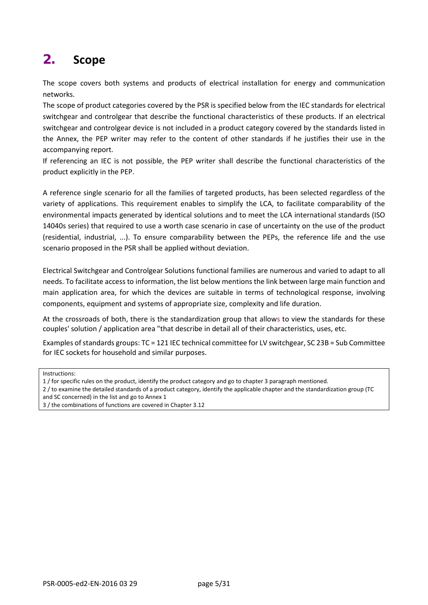# <span id="page-4-0"></span>**2. Scope**

The scope covers both systems and products of electrical installation for energy and communication networks.

The scope of product categories covered by the PSR is specified below from the IEC standards for electrical switchgear and controlgear that describe the functional characteristics of these products. If an electrical switchgear and controlgear device is not included in a product category covered by the standards listed in the Annex, the PEP writer may refer to the content of other standards if he justifies their use in the accompanying report.

If referencing an IEC is not possible, the PEP writer shall describe the functional characteristics of the product explicitly in the PEP.

A reference single scenario for all the families of targeted products, has been selected regardless of the variety of applications. This requirement enables to simplify the LCA, to facilitate comparability of the environmental impacts generated by identical solutions and to meet the LCA international standards (ISO 14040s series) that required to use a worth case scenario in case of uncertainty on the use of the product (residential, industrial, ...). To ensure comparability between the PEPs, the reference life and the use scenario proposed in the PSR shall be applied without deviation.

Electrical Switchgear and Controlgear Solutions functional families are numerous and varied to adapt to all needs. To facilitate access to information, the list below mentions the link between large main function and main application area, for which the devices are suitable in terms of technological response, involving components, equipment and systems of appropriate size, complexity and life duration.

At the crossroads of both, there is the standardization group that allows to view the standards for these couples' solution / application area "that describe in detail all of their characteristics, uses, etc.

Examples of standards groups: TC = 121 IEC technical committee for LV switchgear, SC 23B = Sub Committee for IEC sockets for household and similar purposes.

Instructions:

- 1 / for specific rules on the product, identify the product category and go to chapter 3 paragraph mentioned.
- 2 / to examine the detailed standards of a product category, identify the applicable chapter and the standardization group (TC and SC concerned) in the list and go to Annex 1
- 3 / the combinations of functions are covered in Chapter 3.12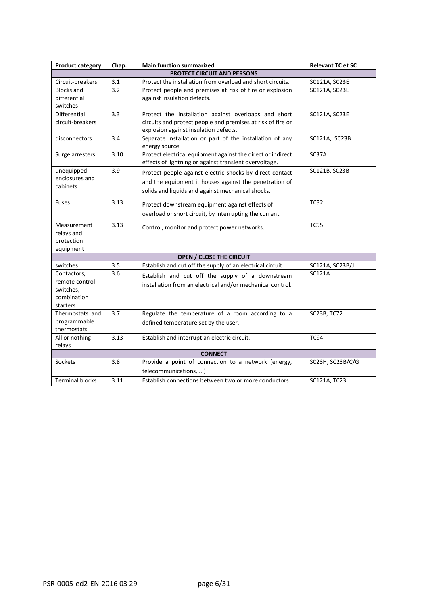| <b>Product category</b> | Chap. | <b>Main function summarized</b>                             | <b>Relevant TC et SC</b> |
|-------------------------|-------|-------------------------------------------------------------|--------------------------|
|                         |       | PROTECT CIRCUIT AND PERSONS                                 |                          |
| Circuit-breakers        | 3.1   | Protect the installation from overload and short circuits.  | SC121A, SC23E            |
| <b>Blocks and</b>       | 3.2   | Protect people and premises at risk of fire or explosion    | SC121A, SC23E            |
| differential            |       | against insulation defects.                                 |                          |
| switches                |       |                                                             |                          |
| Differential            | 3.3   | Protect the installation against overloads and short        | SC121A, SC23E            |
| circuit-breakers        |       | circuits and protect people and premises at risk of fire or |                          |
|                         |       | explosion against insulation defects.                       |                          |
| disconnectors           | 3.4   | Separate installation or part of the installation of any    | SC121A, SC23B            |
|                         |       | energy source                                               |                          |
| Surge arresters         | 3.10  | Protect electrical equipment against the direct or indirect | SC37A                    |
|                         |       | effects of lightning or against transient overvoltage.      |                          |
| unequipped              | 3.9   | Protect people against electric shocks by direct contact    | SC121B, SC23B            |
| enclosures and          |       | and the equipment it houses against the penetration of      |                          |
| cabinets                |       | solids and liquids and against mechanical shocks.           |                          |
|                         |       |                                                             |                          |
| <b>Fuses</b>            | 3.13  | Protect downstream equipment against effects of             | <b>TC32</b>              |
|                         |       | overload or short circuit, by interrupting the current.     |                          |
|                         |       |                                                             |                          |
| Measurement             | 3.13  | Control, monitor and protect power networks.                | <b>TC95</b>              |
| relays and              |       |                                                             |                          |
| protection              |       |                                                             |                          |
| equipment               |       |                                                             |                          |
|                         |       | <b>OPEN / CLOSE THE CIRCUIT</b>                             |                          |
| switches                | 3.5   | Establish and cut off the supply of an electrical circuit.  | SC121A, SC23B/J          |
| Contactors,             | 3.6   | Establish and cut off the supply of a downstream            | <b>SC121A</b>            |
| remote control          |       | installation from an electrical and/or mechanical control.  |                          |
| switches,               |       |                                                             |                          |
| combination<br>starters |       |                                                             |                          |
| Thermostats and         | 3.7   | Regulate the temperature of a room according to a           | <b>SC23B, TC72</b>       |
| programmable            |       |                                                             |                          |
| thermostats             |       | defined temperature set by the user.                        |                          |
| All or nothing          | 3.13  | Establish and interrupt an electric circuit.                | <b>TC94</b>              |
| relays                  |       |                                                             |                          |
| <b>CONNECT</b>          |       |                                                             |                          |
| <b>Sockets</b>          | 3.8   | Provide a point of connection to a network (energy,         | SC23H, SC23B/C/G         |
|                         |       | telecommunications, )                                       |                          |
| <b>Terminal blocks</b>  | 3.11  | Establish connections between two or more conductors        | SC121A, TC23             |
|                         |       |                                                             |                          |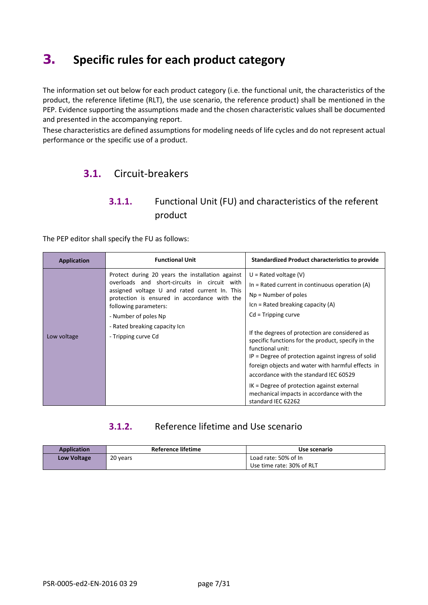# <span id="page-6-0"></span>**3. Specific rules for each product category**

The information set out below for each product category (i.e. the functional unit, the characteristics of the product, the reference lifetime (RLT), the use scenario, the reference product) shall be mentioned in the PEP. Evidence supporting the assumptions made and the chosen characteristic values shall be documented and presented in the accompanying report.

<span id="page-6-1"></span>These characteristics are defined assumptions for modeling needs of life cycles and do not represent actual performance or the specific use of a product.

# **3.1.** Circuit-breakers

## **3.1.1.** Functional Unit (FU) and characteristics of the referent product

The PEP editor shall specify the FU as follows:

| <b>Application</b> | <b>Functional Unit</b>                                                                                                                                                                                                                                                                                     | <b>Standardized Product characteristics to provide</b>                                                                                                                                                                                                                                                                                                                                                                                                                                                                                                                        |
|--------------------|------------------------------------------------------------------------------------------------------------------------------------------------------------------------------------------------------------------------------------------------------------------------------------------------------------|-------------------------------------------------------------------------------------------------------------------------------------------------------------------------------------------------------------------------------------------------------------------------------------------------------------------------------------------------------------------------------------------------------------------------------------------------------------------------------------------------------------------------------------------------------------------------------|
| Low voltage        | Protect during 20 years the installation against<br>overloads and short-circuits in circuit with<br>assigned voltage U and rated current In. This<br>protection is ensured in accordance with the<br>following parameters:<br>- Number of poles Np<br>- Rated breaking capacity Icn<br>- Tripping curve Cd | $U =$ Rated voltage (V)<br>In $=$ Rated current in continuous operation (A)<br>$Np =$ Number of poles<br>$Icn =$ Rated breaking capacity $(A)$<br>$Cd = Tripping curve$<br>If the degrees of protection are considered as<br>specific functions for the product, specify in the<br>functional unit:<br>$IP$ = Degree of protection against ingress of solid<br>foreign objects and water with harmful effects in<br>accordance with the standard IEC 60529<br>$IK = Degree$ of protection against external<br>mechanical impacts in accordance with the<br>standard IEC 62262 |

#### **3.1.2.** Reference lifetime and Use scenario

| <b>Application</b> | Reference lifetime | Use scenario              |
|--------------------|--------------------|---------------------------|
| Low Voltage        | 20 years           | Load rate: 50% of In      |
|                    |                    | Use time rate: 30% of RLT |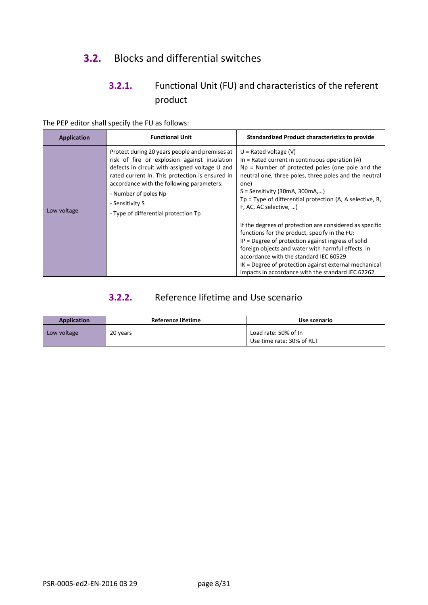# <span id="page-7-0"></span>**3.2.** Blocks and differential switches

# **3.2.1.** Functional Unit (FU) and characteristics of the referent product

The PEP editor shall specify the FU as follows:

| Application | <b>Functional Unit</b>                                                                                                                                                                                                                                                                                                              | <b>Standardized Product characteristics to provide</b>                                                                                                                                                                                                                                                                                                                                                                                                                                                                                                                                                                                                                                                          |
|-------------|-------------------------------------------------------------------------------------------------------------------------------------------------------------------------------------------------------------------------------------------------------------------------------------------------------------------------------------|-----------------------------------------------------------------------------------------------------------------------------------------------------------------------------------------------------------------------------------------------------------------------------------------------------------------------------------------------------------------------------------------------------------------------------------------------------------------------------------------------------------------------------------------------------------------------------------------------------------------------------------------------------------------------------------------------------------------|
| Low voltage | Protect during 20 years people and premises at<br>risk of fire or explosion against insulation<br>defects in circuit with assigned voltage U and<br>rated current In. This protection is ensured in<br>accordance with the following parameters:<br>- Number of poles Np<br>- Sensitivity S<br>- Type of differential protection Tp | $U =$ Rated voltage (V)<br>In = Rated current in continuous operation $(A)$<br>$Np$ = Number of protected poles (one pole and the<br>neutral one, three poles, three poles and the neutral<br>one)<br>$S =$ Sensitivity (30mA, 300mA,)<br>$Tp = Type$ of differential protection (A, A selective, B,<br>F, AC, AC selective, )<br>If the degrees of protection are considered as specific<br>functions for the product, specify in the FU:<br>$IP$ = Degree of protection against ingress of solid<br>foreign objects and water with harmful effects in<br>accordance with the standard IEC 60529<br>IK = Degree of protection against external mechanical<br>impacts in accordance with the standard IEC 62262 |

## **3.2.2.** Reference lifetime and Use scenario

| <b>Application</b> | <b>Reference lifetime</b> | Use scenario                                      |
|--------------------|---------------------------|---------------------------------------------------|
| Low voltage        | 20 years                  | Load rate: 50% of In<br>Use time rate: 30% of RLT |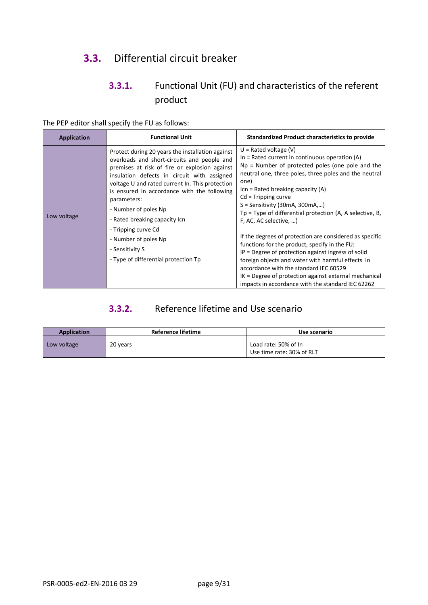# <span id="page-8-0"></span>**3.3.** Differential circuit breaker

# **3.3.1.** Functional Unit (FU) and characteristics of the referent product

The PEP editor shall specify the FU as follows:

| <b>Application</b> | <b>Functional Unit</b>                                                                                                                                                                                                                                                                                                                                                                                                                                                              | <b>Standardized Product characteristics to provide</b>                                                                                                                                                                                                                                                                                                                                                                                                                                                                                                                                                                                                                                                                                                                            |
|--------------------|-------------------------------------------------------------------------------------------------------------------------------------------------------------------------------------------------------------------------------------------------------------------------------------------------------------------------------------------------------------------------------------------------------------------------------------------------------------------------------------|-----------------------------------------------------------------------------------------------------------------------------------------------------------------------------------------------------------------------------------------------------------------------------------------------------------------------------------------------------------------------------------------------------------------------------------------------------------------------------------------------------------------------------------------------------------------------------------------------------------------------------------------------------------------------------------------------------------------------------------------------------------------------------------|
| Low voltage        | Protect during 20 years the installation against<br>overloads and short-circuits and people and<br>premises at risk of fire or explosion against<br>insulation defects in circuit with assigned<br>voltage U and rated current In. This protection<br>is ensured in accordance with the following<br>parameters:<br>- Number of poles Np<br>- Rated breaking capacity Icn<br>- Tripping curve Cd<br>- Number of poles Np<br>- Sensitivity S<br>- Type of differential protection Tp | $U =$ Rated voltage (V)<br>In $=$ Rated current in continuous operation (A)<br>$Np =$ Number of protected poles (one pole and the<br>neutral one, three poles, three poles and the neutral<br>one)<br>$Icn =$ Rated breaking capacity $(A)$<br>$Cd = Tripping curve$<br>$S =$ Sensitivity (30mA, 300mA,)<br>$Tp = Type$ of differential protection (A, A selective, B,<br>F, AC, AC selective, )<br>If the degrees of protection are considered as specific<br>functions for the product, specify in the FU:<br>$IP$ = Degree of protection against ingress of solid<br>foreign objects and water with harmful effects in<br>accordance with the standard IEC 60529<br>IK = Degree of protection against external mechanical<br>impacts in accordance with the standard IEC 62262 |

### **3.3.2.** Reference lifetime and Use scenario

| <b>Application</b> | Reference lifetime | Use scenario                                      |
|--------------------|--------------------|---------------------------------------------------|
| Low voltage        | 20 years           | Load rate: 50% of In<br>Use time rate: 30% of RLT |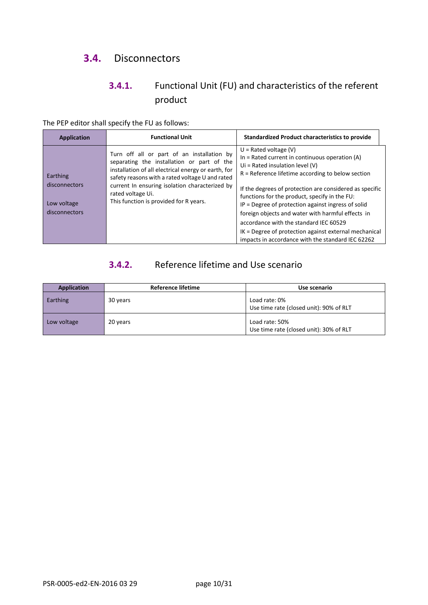# <span id="page-9-0"></span>**3.4.** Disconnectors

# **3.4.1.** Functional Unit (FU) and characteristics of the referent product

The PEP editor shall specify the FU as follows:

| <b>Application</b>                            | <b>Functional Unit</b>                                                                                                                                                                             | <b>Standardized Product characteristics to provide</b>                                                                                                                                                                                                                                                                                                                      |
|-----------------------------------------------|----------------------------------------------------------------------------------------------------------------------------------------------------------------------------------------------------|-----------------------------------------------------------------------------------------------------------------------------------------------------------------------------------------------------------------------------------------------------------------------------------------------------------------------------------------------------------------------------|
| Earthing                                      | Turn off all or part of an installation by<br>separating the installation or part of the<br>installation of all electrical energy or earth, for<br>safety reasons with a rated voltage U and rated | $U =$ Rated voltage (V)<br>In $=$ Rated current in continuous operation (A)<br>Ui = Rated insulation level $(V)$<br>$R$ = Reference lifetime according to below section                                                                                                                                                                                                     |
| disconnectors<br>Low voltage<br>disconnectors | current In ensuring isolation characterized by<br>rated voltage Ui.<br>This function is provided for R years.                                                                                      | If the degrees of protection are considered as specific<br>functions for the product, specify in the FU:<br>IP = Degree of protection against ingress of solid<br>foreign objects and water with harmful effects in<br>accordance with the standard IEC 60529<br>IK = Degree of protection against external mechanical<br>impacts in accordance with the standard IEC 62262 |

# **3.4.2.** Reference lifetime and Use scenario

| <b>Application</b> | Reference lifetime | Use scenario                                              |
|--------------------|--------------------|-----------------------------------------------------------|
| Earthing           | 30 years           | Load rate: 0%<br>Use time rate (closed unit): 90% of RLT  |
| Low voltage        | 20 years           | Load rate: 50%<br>Use time rate (closed unit): 30% of RLT |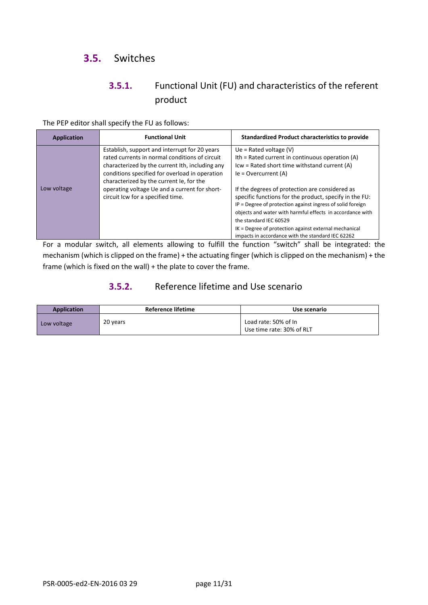# <span id="page-10-0"></span>**3.5.** Switches

## **3.5.1.** Functional Unit (FU) and characteristics of the referent product

The PEP editor shall specify the FU as follows:

| Application | <b>Functional Unit</b>                                                                                                                                                                                                                                                                                                                 | <b>Standardized Product characteristics to provide</b>                                                                                                                                                                                                                                                                                                                                                                                                                                                                                 |
|-------------|----------------------------------------------------------------------------------------------------------------------------------------------------------------------------------------------------------------------------------------------------------------------------------------------------------------------------------------|----------------------------------------------------------------------------------------------------------------------------------------------------------------------------------------------------------------------------------------------------------------------------------------------------------------------------------------------------------------------------------------------------------------------------------------------------------------------------------------------------------------------------------------|
| Low voltage | Establish, support and interrupt for 20 years<br>rated currents in normal conditions of circuit<br>characterized by the current Ith, including any<br>conditions specified for overload in operation<br>characterized by the current le, for the<br>operating voltage Ue and a current for short-<br>circuit Icw for a specified time. | Ue = Rated voltage $(V)$<br>Ith = Rated current in continuous operation (A)<br>Icw = Rated short time withstand current (A)<br>$le =$ Overcurrent $(A)$<br>If the degrees of protection are considered as<br>specific functions for the product, specify in the FU:<br>IP = Degree of protection against ingress of solid foreign<br>objects and water with harmful effects in accordance with<br>the standard IEC 60529<br>IK = Degree of protection against external mechanical<br>impacts in accordance with the standard IEC 62262 |

For a modular switch, all elements allowing to fulfill the function "switch" shall be integrated: the mechanism (which is clipped on the frame) + the actuating finger (which is clipped on the mechanism) + the frame (which is fixed on the wall) + the plate to cover the frame.

#### **3.5.2.** Reference lifetime and Use scenario

| <b>Application</b> | <b>Reference lifetime</b> | Use scenario                                      |
|--------------------|---------------------------|---------------------------------------------------|
| Low voltage        | 20 years                  | Load rate: 50% of In<br>Use time rate: 30% of RLT |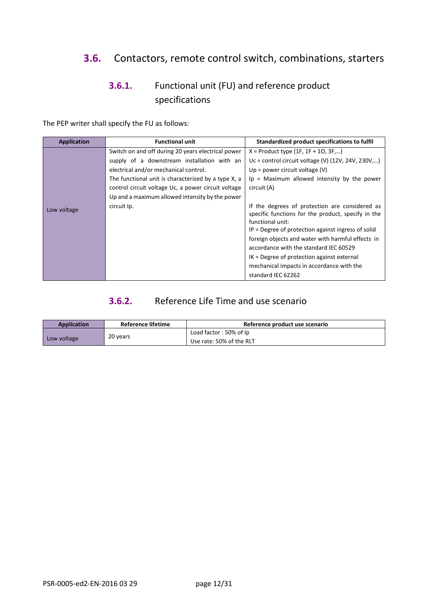# <span id="page-11-0"></span>**3.6.** Contactors, remote control switch, combinations, starters

# **3.6.1.** Functional unit (FU) and reference product specifications

The PEP writer shall specify the FU as follows:

| <b>Application</b> | <b>Functional unit</b>                              | Standardized product specifications to fulfil                                                                            |
|--------------------|-----------------------------------------------------|--------------------------------------------------------------------------------------------------------------------------|
|                    | Switch on and off during 20 years electrical power  | $X =$ Product type (1F, 1F + 1O, 3F,)                                                                                    |
|                    | supply of a downstream installation with an         | Uc = control circuit voltage (V) $(12V, 24V, 230V,)$                                                                     |
|                    | electrical and/or mechanical control.               | Up = power circuit voltage $(V)$                                                                                         |
|                    | The functional unit is characterized by a type X, a | Ip = Maximum allowed intensity by the power                                                                              |
|                    | control circuit voltage Uc, a power circuit voltage | circuit (A)                                                                                                              |
|                    | Up and a maximum allowed intensity by the power     |                                                                                                                          |
| Low voltage        | circuit Ip.                                         | If the degrees of protection are considered as<br>specific functions for the product, specify in the<br>functional unit: |
|                    |                                                     | $IP$ = Degree of protection against ingress of solid                                                                     |
|                    |                                                     | foreign objects and water with harmful effects in                                                                        |
|                    |                                                     | accordance with the standard IEC 60529                                                                                   |
|                    |                                                     | $IK = Degree of protection against external$                                                                             |
|                    |                                                     | mechanical impacts in accordance with the                                                                                |
|                    |                                                     | standard IEC 62262                                                                                                       |

#### **3.6.2.** Reference Life Time and use scenario

| <b>Application</b> | <b>Reference lifetime</b> | Reference product use scenario |
|--------------------|---------------------------|--------------------------------|
|                    | 20 years                  | Load factor: 50% of Ip         |
| Low voltage        |                           | Use rate: 50% of the RLT       |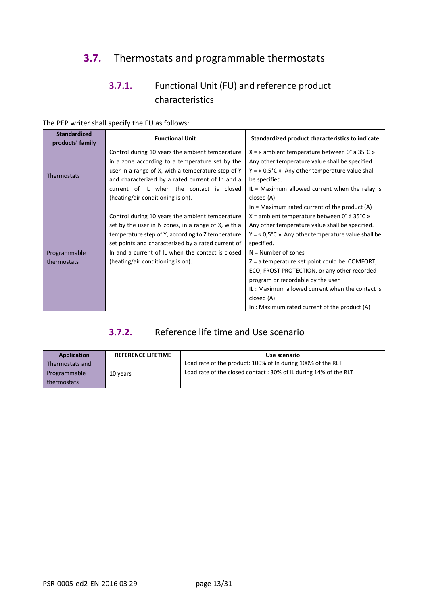# <span id="page-12-0"></span>**3.7.** Thermostats and programmable thermostats

# **3.7.1.** Functional Unit (FU) and reference product characteristics

| <b>Standardized</b><br>products' family | <b>Functional Unit</b>                              | Standardized product characteristics to indicate          |
|-----------------------------------------|-----------------------------------------------------|-----------------------------------------------------------|
|                                         | Control during 10 years the ambient temperature     | $X = \alpha$ ambient temperature between 0° à 35°C »      |
|                                         | in a zone according to a temperature set by the     | Any other temperature value shall be specified.           |
|                                         | user in a range of X, with a temperature step of Y  | $Y = \alpha$ 0,5°C » Any other temperature value shall    |
| Thermostats                             | and characterized by a rated current of In and a    | be specified.                                             |
|                                         | current of IL when the contact is closed            | $IL = Maximum$ allowed current when the relay is          |
|                                         | (heating/air conditioning is on).                   | closed (A)                                                |
|                                         |                                                     | In = Maximum rated current of the product $(A)$           |
|                                         | Control during 10 years the ambient temperature     | $X =$ ambient temperature between 0° à 35°C »             |
|                                         | set by the user in N zones, in a range of X, with a | Any other temperature value shall be specified.           |
|                                         | temperature step of Y, according to Z temperature   | $Y = \alpha$ 0,5°C » Any other temperature value shall be |
|                                         | set points and characterized by a rated current of  | specified.                                                |
| Programmable                            | In and a current of IL when the contact is closed   | $N =$ Number of zones                                     |
| thermostats                             | (heating/air conditioning is on).                   | Z = a temperature set point could be COMFORT,             |
|                                         |                                                     | ECO, FROST PROTECTION, or any other recorded              |
|                                         |                                                     | program or recordable by the user                         |
|                                         |                                                     | IL: Maximum allowed current when the contact is           |
|                                         |                                                     | closed (A)                                                |
|                                         |                                                     | In : Maximum rated current of the product (A)             |

The PEP writer shall specify the FU as follows:

### **3.7.2.** Reference life time and Use scenario

| Application                 | <b>REFERENCE LIFETIME</b> | Use scenario                                                     |
|-----------------------------|---------------------------|------------------------------------------------------------------|
| Thermostats and             |                           | Load rate of the product: 100% of In during 100% of the RLT      |
| Programmable<br>thermostats | 10 years                  | Load rate of the closed contact: 30% of IL during 14% of the RLT |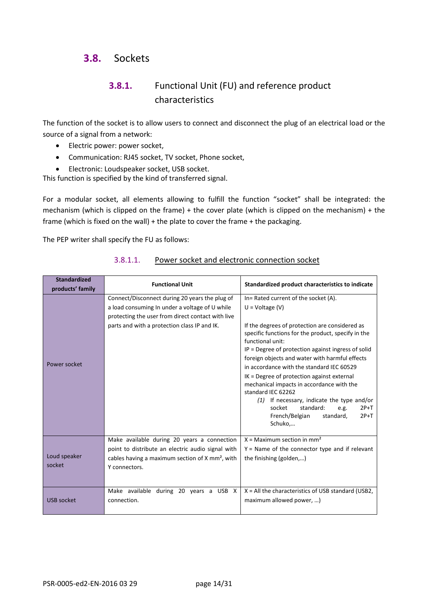### <span id="page-13-0"></span>**3.8.** Sockets

## **3.8.1.** Functional Unit (FU) and reference product characteristics

The function of the socket is to allow users to connect and disconnect the plug of an electrical load or the source of a signal from a network:

- Electric power: power socket,
- Communication: RJ45 socket, TV socket, Phone socket,
- Electronic: Loudspeaker socket, USB socket.

This function is specified by the kind of transferred signal.

For a modular socket, all elements allowing to fulfill the function "socket" shall be integrated: the mechanism (which is clipped on the frame) + the cover plate (which is clipped on the mechanism) + the frame (which is fixed on the wall) + the plate to cover the frame + the packaging.

The PEP writer shall specify the FU as follows:

| <b>Standardized</b><br>products' family | <b>Functional Unit</b>                                                                                                                                                                                | Standardized product characteristics to indicate                                                                                                                                                                                                                                                                                                                                                                                                                                                                                                                                                         |
|-----------------------------------------|-------------------------------------------------------------------------------------------------------------------------------------------------------------------------------------------------------|----------------------------------------------------------------------------------------------------------------------------------------------------------------------------------------------------------------------------------------------------------------------------------------------------------------------------------------------------------------------------------------------------------------------------------------------------------------------------------------------------------------------------------------------------------------------------------------------------------|
| Power socket                            | Connect/Disconnect during 20 years the plug of<br>a load consuming In under a voltage of U while<br>protecting the user from direct contact with live<br>parts and with a protection class IP and IK. | In= Rated current of the socket (A).<br>$U = Voltage (V)$<br>If the degrees of protection are considered as<br>specific functions for the product, specify in the<br>functional unit:<br>IP = Degree of protection against ingress of solid<br>foreign objects and water with harmful effects<br>in accordance with the standard IEC 60529<br>IK = Degree of protection against external<br>mechanical impacts in accordance with the<br>standard IEC 62262<br>$(1)$ If necessary, indicate the type and/or<br>standard:<br>$2P+T$<br>socket<br>e.g.<br>French/Belgian<br>$2P+T$<br>standard,<br>Schuko, |
| Loud speaker<br>socket                  | Make available during 20 years a connection<br>point to distribute an electric audio signal with<br>cables having a maximum section of X mm <sup>2</sup> , with<br>Y connectors.                      | $X =$ Maximum section in mm <sup>2</sup><br>$Y =$ Name of the connector type and if relevant<br>the finishing (golden,)                                                                                                                                                                                                                                                                                                                                                                                                                                                                                  |
| <b>USB socket</b>                       | Make available during 20 years a USB X<br>connection.                                                                                                                                                 | $X = All$ the characteristics of USB standard (USB2,<br>maximum allowed power, )                                                                                                                                                                                                                                                                                                                                                                                                                                                                                                                         |

#### 3.8.1.1. Power socket and electronic connection socket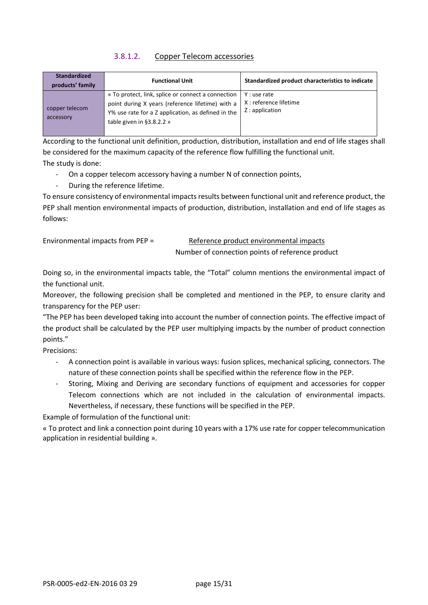#### 3.8.1.2. Copper Telecom accessories

| <b>Standardized</b><br>products' family | <b>Functional Unit</b>                                                                                                                                                                        | Standardized product characteristics to indicate           |
|-----------------------------------------|-----------------------------------------------------------------------------------------------------------------------------------------------------------------------------------------------|------------------------------------------------------------|
| copper telecom<br>accessory             | « To protect, link, splice or connect a connection<br>point during X years (reference lifetime) with a<br>Y% use rate for a Z application, as defined in the<br>table given in $\S$ 3.8.2.2 » | Y : use rate<br>X : reference lifetime<br>$Z:$ application |

According to the functional unit definition, production, distribution, installation and end of life stages shall be considered for the maximum capacity of the reference flow fulfilling the functional unit. The study is done:

- On a copper telecom accessory having a number N of connection points,
- During the reference lifetime.

To ensure consistency of environmental impacts results between functional unit and reference product, the PEP shall mention environmental impacts of production, distribution, installation and end of life stages as follows:

Environmental impacts from PEP = Reference product environmental impacts

Number of connection points of reference product

Doing so, in the environmental impacts table, the "Total" column mentions the environmental impact of the functional unit.

Moreover, the following precision shall be completed and mentioned in the PEP, to ensure clarity and transparency for the PEP user:

"The PEP has been developed taking into account the number of connection points. The effective impact of the product shall be calculated by the PEP user multiplying impacts by the number of product connection points."

Precisions:

- A connection point is available in various ways: fusion splices, mechanical splicing, connectors. The nature of these connection points shall be specified within the reference flow in the PEP.
- Storing, Mixing and Deriving are secondary functions of equipment and accessories for copper Telecom connections which are not included in the calculation of environmental impacts. Nevertheless, if necessary, these functions will be specified in the PEP.

Example of formulation of the functional unit:

« To protect and link a connection point during 10 years with a 17% use rate for copper telecommunication application in residential building ».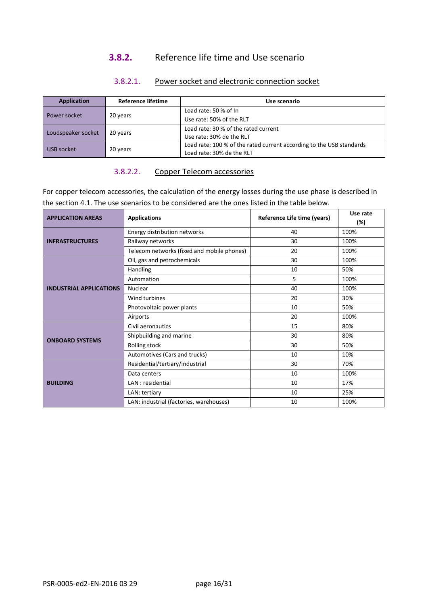#### **3.8.2.** Reference life time and Use scenario

| <b>Application</b> | <b>Reference lifetime</b> | Use scenario                                                         |
|--------------------|---------------------------|----------------------------------------------------------------------|
|                    |                           | Load rate: 50 % of In                                                |
| Power socket       | 20 years                  | Use rate: 50% of the RLT                                             |
|                    |                           | Load rate: 30 % of the rated current                                 |
| Loudspeaker socket | 20 years                  | Use rate: 30% de the RLT                                             |
| USB socket         |                           | Load rate: 100 % of the rated current according to the USB standards |
|                    | 20 years                  | Load rate: 30% de the RLT                                            |

#### 3.8.2.1. Power socket and electronic connection socket

#### 3.8.2.2. Copper Telecom accessories

For copper telecom accessories, the calculation of the energy losses during the use phase is described in the section 4.1. The use scenarios to be considered are the ones listed in the table below.

| <b>APPLICATION AREAS</b>       | <b>Applications</b>                        |    | Use rate<br>(%) |
|--------------------------------|--------------------------------------------|----|-----------------|
|                                | Energy distribution networks               | 40 | 100%            |
| <b>INFRASTRUCTURES</b>         | Railway networks                           | 30 | 100%            |
|                                | Telecom networks (fixed and mobile phones) | 20 | 100%            |
|                                | Oil, gas and petrochemicals                | 30 | 100%            |
|                                | Handling                                   | 10 | 50%             |
|                                | Automation                                 | 5  | 100%            |
| <b>INDUSTRIAL APPLICATIONS</b> | Nuclear                                    | 40 | 100%            |
|                                | Wind turbines                              | 20 | 30%             |
|                                | Photovoltaic power plants                  | 10 | 50%             |
|                                | Airports                                   | 20 | 100%            |
| <b>ONBOARD SYSTEMS</b>         | Civil aeronautics                          | 15 | 80%             |
|                                | Shipbuilding and marine                    | 30 | 80%             |
|                                | Rolling stock                              | 30 | 50%             |
|                                | Automotives (Cars and trucks)              | 10 | 10%             |
|                                | Residential/tertiary/industrial            | 30 | 70%             |
|                                | Data centers                               | 10 | 100%            |
| <b>BUILDING</b>                | LAN : residential                          | 10 | 17%             |
|                                | LAN: tertiary                              | 10 | 25%             |
|                                | LAN: industrial (factories, warehouses)    | 10 | 100%            |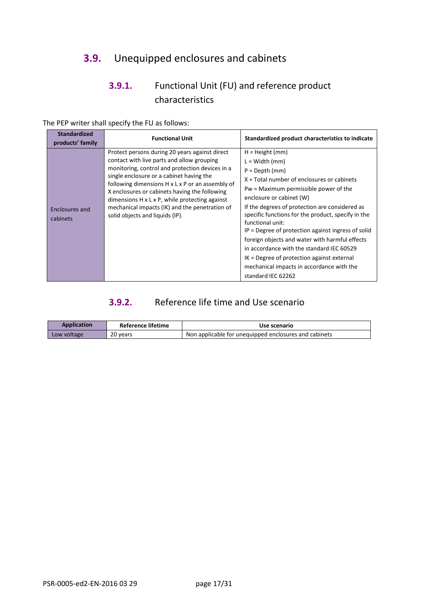# <span id="page-16-0"></span>**3.9.** Unequipped enclosures and cabinets

# **3.9.1.** Functional Unit (FU) and reference product characteristics

| <b>Standardized</b>        | <b>Functional Unit</b>                                                                                                                                                                                                                                                                                                                                                                                                                               | Standardized product characteristics to indicate                                                                                                                                                                                                                                                                                                                                                                                                                                                                                                                                   |
|----------------------------|------------------------------------------------------------------------------------------------------------------------------------------------------------------------------------------------------------------------------------------------------------------------------------------------------------------------------------------------------------------------------------------------------------------------------------------------------|------------------------------------------------------------------------------------------------------------------------------------------------------------------------------------------------------------------------------------------------------------------------------------------------------------------------------------------------------------------------------------------------------------------------------------------------------------------------------------------------------------------------------------------------------------------------------------|
| products' family           |                                                                                                                                                                                                                                                                                                                                                                                                                                                      |                                                                                                                                                                                                                                                                                                                                                                                                                                                                                                                                                                                    |
| Enclosures and<br>cabinets | Protect persons during 20 years against direct<br>contact with live parts and allow grouping<br>monitoring, control and protection devices in a<br>single enclosure or a cabinet having the<br>following dimensions H x L x P or an assembly of<br>X enclosures or cabinets having the following<br>dimensions $H \times L \times P$ , while protecting against<br>mechanical impacts (IK) and the penetration of<br>solid objects and liquids (IP). | $H = Height (mm)$<br>$L = Width (mm)$<br>$P = Depth (mm)$<br>$X = Total number of enclosures or cabinets$<br>Pw = Maximum permissible power of the<br>enclosure or cabinet (W)<br>If the degrees of protection are considered as<br>specific functions for the product, specify in the<br>functional unit:<br>IP = Degree of protection against ingress of solid<br>foreign objects and water with harmful effects<br>in accordance with the standard IEC 60529<br>$IK = Degree of protection against external$<br>mechanical impacts in accordance with the<br>standard IEC 62262 |

The PEP writer shall specify the FU as follows:

#### **3.9.2.** Reference life time and Use scenario

| <b>Application</b> | <b>Reference lifetime</b> | Use scenario                                          |
|--------------------|---------------------------|-------------------------------------------------------|
| Low voltage        | 20 years                  | Non applicable for unequipped enclosures and cabinets |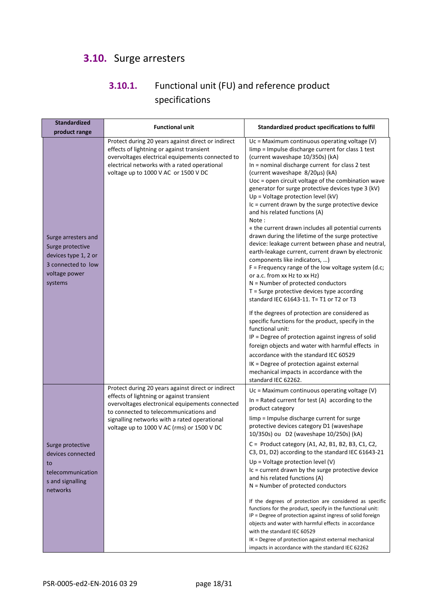# <span id="page-17-0"></span>**3.10.** Surge arresters

# **3.10.1.** Functional unit (FU) and reference product specifications

| <b>Standardized</b><br>product range                                                                              | <b>Functional unit</b>                                                                                                                                                                                                                                                                     | Standardized product specifications to fulfil                                                                                                                                                                                                                                                                                                                                                                                                                                                                                                                                                                                                                                                                                                                                                                                                                                                                                                                                                                                                                                                                                                                                                                                                                                                                                                                         |
|-------------------------------------------------------------------------------------------------------------------|--------------------------------------------------------------------------------------------------------------------------------------------------------------------------------------------------------------------------------------------------------------------------------------------|-----------------------------------------------------------------------------------------------------------------------------------------------------------------------------------------------------------------------------------------------------------------------------------------------------------------------------------------------------------------------------------------------------------------------------------------------------------------------------------------------------------------------------------------------------------------------------------------------------------------------------------------------------------------------------------------------------------------------------------------------------------------------------------------------------------------------------------------------------------------------------------------------------------------------------------------------------------------------------------------------------------------------------------------------------------------------------------------------------------------------------------------------------------------------------------------------------------------------------------------------------------------------------------------------------------------------------------------------------------------------|
| Surge arresters and<br>Surge protective<br>devices type 1, 2 or<br>3 connected to low<br>voltage power<br>systems | Protect during 20 years against direct or indirect<br>effects of lightning or against transient<br>overvoltages electrical equipements connected to<br>electrical networks with a rated operational<br>voltage up to 1000 V AC or 1500 V DC                                                | Uc = Maximum continuous operating voltage (V)<br>limp = Impulse discharge current for class 1 test<br>(current waveshape 10/350s) (kA)<br>In = nominal discharge current for class 2 test<br>(current waveshape 8/20µs) (kA)<br>Uoc = open circuit voltage of the combination wave<br>generator for surge protective devices type 3 (kV)<br>Up = Voltage protection level (kV)<br>Ic = current drawn by the surge protective device<br>and his related functions (A)<br>Note:<br>« the current drawn includes all potential currents<br>drawn during the lifetime of the surge protective<br>device: leakage current between phase and neutral,<br>earth-leakage current, current drawn by electronic<br>components like indicators, )<br>$F =$ Frequency range of the low voltage system (d.c;<br>or a.c. from xx Hz to xx Hz)<br>N = Number of protected conductors<br>$T =$ Surge protective devices type according<br>standard IEC 61643-11. T= T1 or T2 or T3<br>If the degrees of protection are considered as<br>specific functions for the product, specify in the<br>functional unit:<br>IP = Degree of protection against ingress of solid<br>foreign objects and water with harmful effects in<br>accordance with the standard IEC 60529<br>IK = Degree of protection against external<br>mechanical impacts in accordance with the<br>standard IEC 62262. |
| Surge protective<br>devices connected<br>to<br>telecommunication<br>s and signalling<br>networks                  | Protect during 20 years against direct or indirect<br>effects of lightning or against transient<br>overvoltages electronical equipements connected<br>to connected to telecommunications and<br>signalling networks with a rated operational<br>voltage up to 1000 V AC (rms) or 1500 V DC | Uc = Maximum continuous operating voltage (V)<br>In = Rated current for test $(A)$ according to the<br>product category<br>limp = Impulse discharge current for surge<br>protective devices category D1 (waveshape<br>10/350s) ou D2 (waveshape 10/250s) (kA)<br>C = Product category (A1, A2, B1, B2, B3, C1, C2,<br>C3, D1, D2) according to the standard IEC 61643-21<br>Up = Voltage protection level $(V)$<br>Ic = current drawn by the surge protective device<br>and his related functions (A)<br>$N =$ Number of protected conductors<br>If the degrees of protection are considered as specific<br>functions for the product, specify in the functional unit:<br>IP = Degree of protection against ingress of solid foreign<br>objects and water with harmful effects in accordance<br>with the standard IEC 60529<br>IK = Degree of protection against external mechanical<br>impacts in accordance with the standard IEC 62262                                                                                                                                                                                                                                                                                                                                                                                                                             |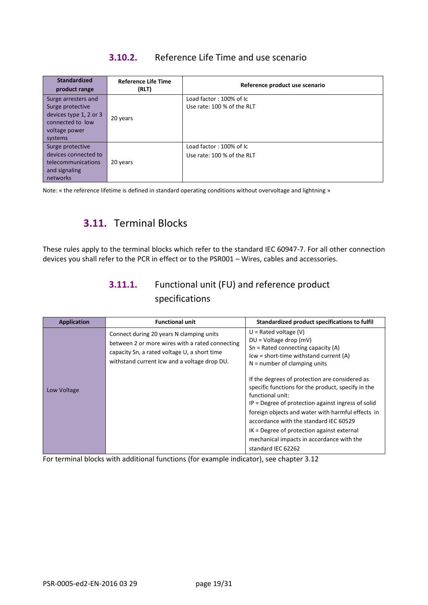### **3.10.2.** Reference Life Time and use scenario

| <b>Standardized</b><br>product range                                                                              | <b>Reference Life Time</b><br>(RLT) | Reference product use scenario                        |
|-------------------------------------------------------------------------------------------------------------------|-------------------------------------|-------------------------------------------------------|
| Surge arresters and<br>Surge protective<br>devices type 1, 2 or 3<br>connected to low<br>voltage power<br>systems | 20 years                            | Load factor: 100% of Ic<br>Use rate: 100 % of the RLT |
| Surge protective<br>devices connected to<br>telecommunications<br>and signaling<br>networks                       | 20 years                            | Load factor: 100% of Ic<br>Use rate: 100 % of the RLT |

<span id="page-18-0"></span>Note: « the reference lifetime is defined in standard operating conditions without overvoltage and lightning »

# **3.11.** Terminal Blocks

These rules apply to the terminal blocks which refer to the standard IEC 60947-7. For all other connection devices you shall refer to the PCR in effect or to the PSR001 – Wires, cables and accessories.

## **3.11.1.** Functional unit (FU) and reference product specifications

| <b>Application</b> | <b>Functional unit</b>                                                                                                                                                                      | Standardized product specifications to fulfil                                                                                                                                                                                                                                                                                                                                                      |
|--------------------|---------------------------------------------------------------------------------------------------------------------------------------------------------------------------------------------|----------------------------------------------------------------------------------------------------------------------------------------------------------------------------------------------------------------------------------------------------------------------------------------------------------------------------------------------------------------------------------------------------|
|                    | Connect during 20 years N clamping units<br>between 2 or more wires with a rated connecting<br>capacity Sn, a rated voltage U, a short time<br>withstand current Icw and a voltage drop DU. | $U =$ Rated voltage (V)<br>$DU = Vol$ tage drop (mV)<br>$Sn = Rated connecting capacity (A)$<br>Icw = short-time withstand current (A)<br>$N =$ number of clamping units                                                                                                                                                                                                                           |
| Low Voltage        |                                                                                                                                                                                             | If the degrees of protection are considered as<br>specific functions for the product, specify in the<br>functional unit:<br>$IP$ = Degree of protection against ingress of solid<br>foreign objects and water with harmful effects in<br>accordance with the standard IEC 60529<br>$IK = Degree of protection against external$<br>mechanical impacts in accordance with the<br>standard IEC 62262 |

For terminal blocks with additional functions (for example indicator), see chapter 3.12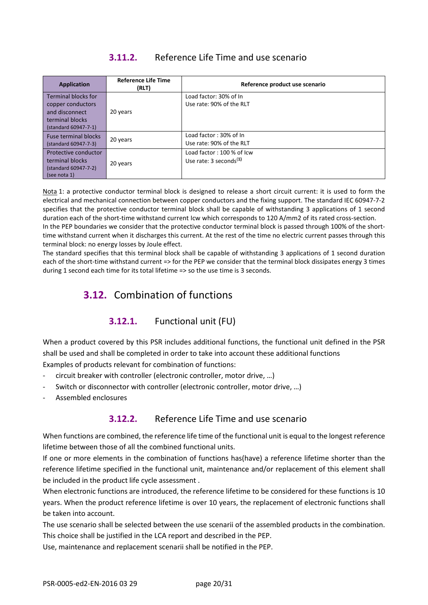### **3.11.2.** Reference Life Time and use scenario

| <b>Application</b>          | <b>Reference Life Time</b><br>(RLT) | Reference product use scenario       |
|-----------------------------|-------------------------------------|--------------------------------------|
| <b>Terminal blocks for</b>  |                                     | Load factor: 30% of In               |
| copper conductors           |                                     | Use rate: 90% of the RLT             |
| and disconnect              | 20 years                            |                                      |
| terminal blocks             |                                     |                                      |
| (standard 60947-7-1)        |                                     |                                      |
| <b>Fuse terminal blocks</b> |                                     | Load factor: 30% of In               |
| (standard 60947-7-3)        | 20 years                            | Use rate: 90% of the RLT             |
| Protective conductor        |                                     | Load factor: 100 % of Icw            |
| terminal blocks             | 20 years                            | Use rate: $3$ seconds <sup>(1)</sup> |
| (standard 60947-7-2)        |                                     |                                      |
| (see nota 1)                |                                     |                                      |

Nota 1: a protective conductor terminal block is designed to release a short circuit current: it is used to form the electrical and mechanical connection between copper conductors and the fixing support. The standard IEC 60947-7-2 specifies that the protective conductor terminal block shall be capable of withstanding 3 applications of 1 second duration each of the short-time withstand current Icw which corresponds to 120 A/mm2 of its rated cross-section. In the PEP boundaries we consider that the protective conductor terminal block is passed through 100% of the shorttime withstand current when it discharges this current. At the rest of the time no electric current passes through this terminal block: no energy losses by Joule effect.

<span id="page-19-0"></span>The standard specifies that this terminal block shall be capable of withstanding 3 applications of 1 second duration each of the short-time withstand current => for the PEP we consider that the terminal block dissipates energy 3 times during 1 second each time for its total lifetime => so the use time is 3 seconds.

# **3.12.** Combination of functions

#### **3.12.1.** Functional unit (FU)

When a product covered by this PSR includes additional functions, the functional unit defined in the PSR shall be used and shall be completed in order to take into account these additional functions Examples of products relevant for combination of functions:

- circuit breaker with controller (electronic controller, motor drive, …)
- Switch or disconnector with controller (electronic controller, motor drive, ...)
- Assembled enclosures

#### **3.12.2.** Reference Life Time and use scenario

When functions are combined, the reference life time of the functional unit is equal to the longest reference lifetime between those of all the combined functional units.

If one or more elements in the combination of functions has(have) a reference lifetime shorter than the reference lifetime specified in the functional unit, maintenance and/or replacement of this element shall be included in the product life cycle assessment .

When electronic functions are introduced, the reference lifetime to be considered for these functions is 10 years. When the product reference lifetime is over 10 years, the replacement of electronic functions shall be taken into account.

The use scenario shall be selected between the use scenarii of the assembled products in the combination. This choice shall be justified in the LCA report and described in the PEP.

Use, maintenance and replacement scenarii shall be notified in the PEP.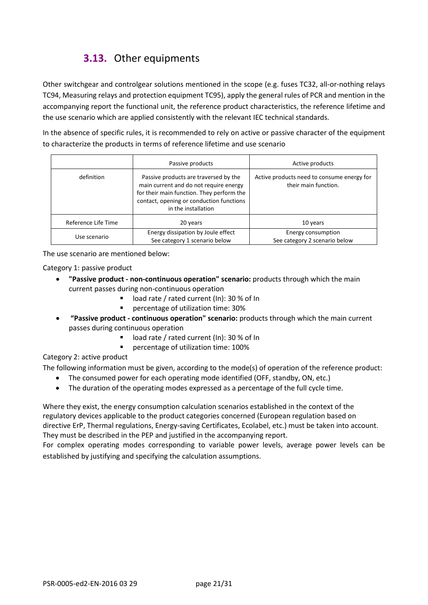# **3.13.** Other equipments

<span id="page-20-0"></span>Other switchgear and controlgear solutions mentioned in the scope (e.g. fuses TC32, all-or-nothing relays TC94, Measuring relays and protection equipment TC95), apply the general rules of PCR and mention in the accompanying report the functional unit, the reference product characteristics, the reference lifetime and the use scenario which are applied consistently with the relevant IEC technical standards.

In the absence of specific rules, it is recommended to rely on active or passive character of the equipment to characterize the products in terms of reference lifetime and use scenario

|                     | Passive products                                                                                                                                                                                | Active products                                                    |
|---------------------|-------------------------------------------------------------------------------------------------------------------------------------------------------------------------------------------------|--------------------------------------------------------------------|
| definition          | Passive products are traversed by the<br>main current and do not require energy<br>for their main function. They perform the<br>contact, opening or conduction functions<br>in the installation | Active products need to consume energy for<br>their main function. |
| Reference Life Time | 20 years                                                                                                                                                                                        | 10 years                                                           |
| Use scenario        | Energy dissipation by Joule effect<br>See category 1 scenario below                                                                                                                             | Energy consumption<br>See category 2 scenario below                |

The use scenario are mentioned below:

Category 1: passive product

- **"Passive product - non-continuous operation" scenario:** products through which the main current passes during non-continuous operation
	- load rate / rated current (In): 30 % of In
	- **Percentage of utilization time: 30%**
- **"Passive product - continuous operation" scenario:** products through which the main current passes during continuous operation
	- load rate / rated current (In): 30 % of In
	- percentage of utilization time: 100%

#### Category 2: active product

The following information must be given, according to the mode(s) of operation of the reference product:

- The consumed power for each operating mode identified (OFF, standby, ON, etc.)
- The duration of the operating modes expressed as a percentage of the full cycle time.

Where they exist, the energy consumption calculation scenarios established in the context of the regulatory devices applicable to the product categories concerned (European regulation based on directive ErP, Thermal regulations, Energy-saving Certificates, Ecolabel, etc.) must be taken into account. They must be described in the PEP and justified in the accompanying report.

For complex operating modes corresponding to variable power levels, average power levels can be established by justifying and specifying the calculation assumptions.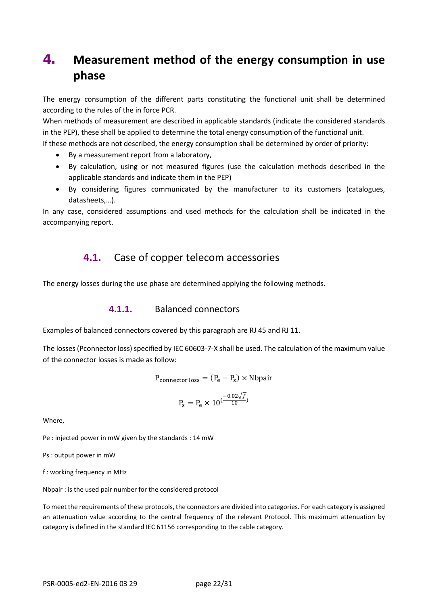# <span id="page-21-0"></span>**4. Measurement method of the energy consumption in use phase**

The energy consumption of the different parts constituting the functional unit shall be determined according to the rules of the in force PCR.

When methods of measurement are described in applicable standards (indicate the considered standards in the PEP), these shall be applied to determine the total energy consumption of the functional unit. If these methods are not described, the energy consumption shall be determined by order of priority:

- By a measurement report from a laboratory,
- By calculation, using or not measured figures (use the calculation methods described in the applicable standards and indicate them in the PEP)
- By considering figures communicated by the manufacturer to its customers (catalogues, datasheets,…).

<span id="page-21-1"></span>In any case, considered assumptions and used methods for the calculation shall be indicated in the accompanying report.

#### **4.1.** Case of copper telecom accessories

The energy losses during the use phase are determined applying the following methods.

#### **4.1.1.** Balanced connectors

Examples of balanced connectors covered by this paragraph are RJ 45 and RJ 11.

The losses (Pconnector loss) specified by IEC 60603-7-X shall be used. The calculation of the maximum value of the connector losses is made as follow:

$$
P_{\text{connector loss}} = (P_e - P_s) \times \text{Nbpair}
$$

$$
P_s = P_e \times 10^{(\frac{-0.02 \sqrt{f}}{10})}
$$

Where,

Pe : injected power in mW given by the standards : 14 mW

Ps : output power in mW

f : working frequency in MHz

Nbpair : is the used pair number for the considered protocol

To meet the requirements of these protocols, the connectors are divided into categories. For each category is assigned an attenuation value according to the central frequency of the relevant Protocol. This maximum attenuation by category is defined in the standard IEC 61156 corresponding to the cable category.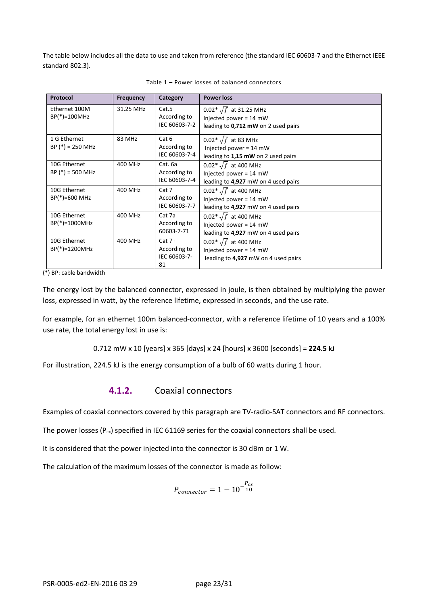The table below includes all the data to use and taken from reference (the standard IEC 60603-7 and the Ethernet IEEE standard 802.3).

| Protocol                           | <b>Frequency</b> | Category                                       | <b>Power loss</b>                                                                               |
|------------------------------------|------------------|------------------------------------------------|-------------------------------------------------------------------------------------------------|
| Ethernet 100M<br>BP(*)=100MHz      | 31.25 MHz        | Cat.5<br>According to<br>IEC 60603-7-2         | $0.02^* \sqrt{f}$ at 31.25 MHz<br>Injected power = 14 mW<br>leading to 0,712 mW on 2 used pairs |
| 1 G Ethernet<br>$BP (*) = 250 MHz$ | 83 MHz           | Cat 6<br>According to<br>IEC 60603-7-4         | 0.02 $\sqrt{f}$ at 83 MHz<br>Injected power = 14 mW<br>leading to 1,15 mW on 2 used pairs       |
| 10G Ethernet<br>$BP (*) = 500 MHz$ | 400 MHz          | Cat. 6a<br>According to<br>IEC 60603-7-4       | 0.02 $\sqrt{f}$ at 400 MHz<br>Injected power = 14 mW<br>leading to 4,927 mW on 4 used pairs     |
| 10G Ethernet<br>$BP(*) = 600 MHz$  | 400 MHz          | Cat 7<br>According to<br>IEC 60603-7-7         | $0.02 * \sqrt{f}$ at 400 MHz<br>Injected power = 14 mW<br>leading to 4,927 mW on 4 used pairs   |
| 10G Ethernet<br>$BP(*)=1000MHz$    | 400 MHz          | Cat 7a<br>According to<br>60603-7-71           | 0.02 $\sqrt{f}$ at 400 MHz<br>Injected power = 14 mW<br>leading to 4,927 mW on 4 used pairs     |
| 10G Ethernet<br>$BP(*)=1200MHz$    | 400 MHz          | $Cat 7+$<br>According to<br>IEC 60603-7-<br>81 | 0.02 * $\sqrt{f}$ at 400 MHz<br>Injected power = 14 mW<br>leading to 4,927 mW on 4 used pairs   |

Table 1 – Power losses of balanced connectors

(\*) BP: cable bandwidth

The energy lost by the balanced connector, expressed in joule, is then obtained by multiplying the power loss, expressed in watt, by the reference lifetime, expressed in seconds, and the use rate.

for example, for an ethernet 100m balanced-connector, with a reference lifetime of 10 years and a 100% use rate, the total energy lost in use is:

0.712 mW x 10 [years] x 365 [days] x 24 [hours] x 3600 [seconds] = **224.5 kJ**

For illustration, 224.5 kJ is the energy consumption of a bulb of 60 watts during 1 hour.

#### **4.1.2.** Coaxial connectors

Examples of coaxial connectors covered by this paragraph are TV-radio-SAT connectors and RF connectors.

The power losses ( $P_{cx}$ ) specified in IEC 61169 series for the coaxial connectors shall be used.

It is considered that the power injected into the connector is 30 dBm or 1 W.

The calculation of the maximum losses of the connector is made as follow:

$$
P_{connector} = 1 - 10^{-\frac{P_{cx}}{10}}
$$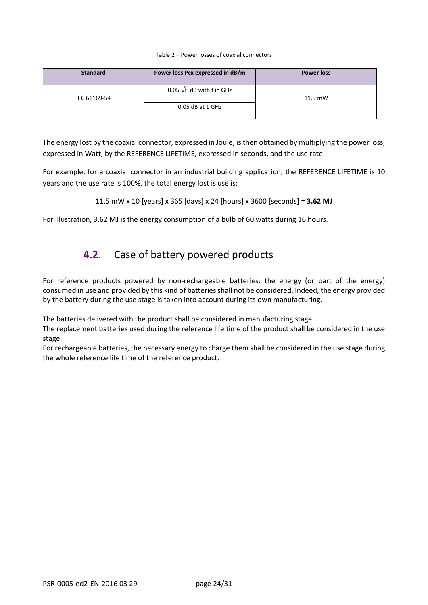#### Table 2 – Power losses of coaxial connectors

| <b>Standard</b> | Power loss Pcx expressed in dB/m | <b>Power loss</b> |
|-----------------|----------------------------------|-------------------|
| IEC 61169-54    | 0.05 $\sqrt{f}$ dB with f in GHz | $11.5$ mW         |
|                 | $0.05$ dB at $1$ GHz             |                   |

The energy lost by the coaxial connector, expressed in Joule, is then obtained by multiplying the power loss, expressed in Watt, by the REFERENCE LIFETIME, expressed in seconds, and the use rate.

For example, for a coaxial connector in an industrial building application, the REFERENCE LIFETIME is 10 years and the use rate is 100%, the total energy lost is use is:

```
11.5 mW x 10 [years] x 365 [days] x 24 [hours] x 3600 [seconds] = 3.62 MJ
```
<span id="page-23-0"></span>For illustration, 3.62 MJ is the energy consumption of a bulb of 60 watts during 16 hours.

## **4.2.** Case of battery powered products

For reference products powered by non-rechargeable batteries: the energy (or part of the energy) consumed in use and provided by this kind of batteries shall not be considered. Indeed, the energy provided by the battery during the use stage is taken into account during its own manufacturing.

The batteries delivered with the product shall be considered in manufacturing stage.

The replacement batteries used during the reference life time of the product shall be considered in the use stage.

For rechargeable batteries, the necessary energy to charge them shall be considered in the use stage during the whole reference life time of the reference product.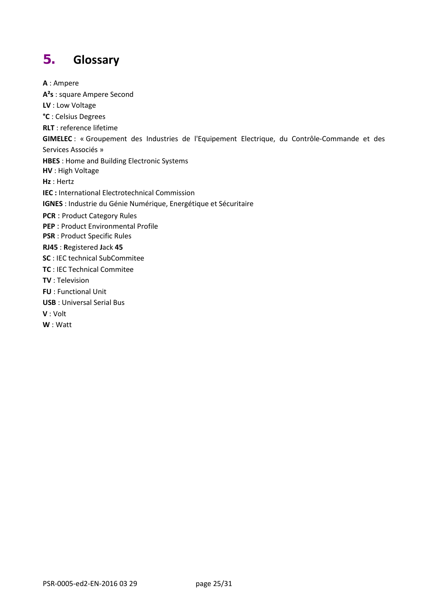# <span id="page-24-0"></span>**5. Glossary**

**A** : Ampere **A²s** : square Ampere Second **LV** : Low Voltage **°C** : Celsius Degrees **RLT** : reference lifetime **GIMELEC** : « Groupement des Industries de l'Equipement Electrique, du Contrôle-Commande et des Services Associés » **HBES** : Home and Building Electronic Systems **HV** : High Voltage **Hz** : Hertz **IEC :** International Electrotechnical Commission **IGNES** : Industrie du Génie Numérique, Energétique et Sécuritaire **PCR** : Product Category Rules **PEP** : Product Environmental Profile **PSR** : Product Specific Rules **RJ45** : **R**egistered **J**ack **45 SC** : IEC technical SubCommitee **TC** : IEC Technical Commitee **TV** : Television **FU** : Functional Unit **USB** : Universal Serial Bus **V** : Volt **W** : Watt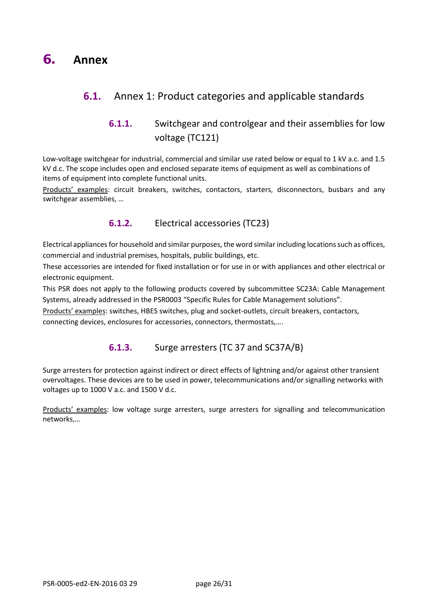# <span id="page-25-1"></span><span id="page-25-0"></span>**6.1.** Annex 1: Product categories and applicable standards

## **6.1.1.** Switchgear and controlgear and their assemblies for low voltage (TC121)

Low-voltage switchgear for industrial, commercial and similar use rated below or equal to 1 kV a.c. and 1.5 kV d.c. The scope includes open and enclosed separate items of equipment as well as combinations of items of equipment into complete functional units.

Products' examples: circuit breakers, switches, contactors, starters, disconnectors, busbars and any switchgear assemblies, …

#### **6.1.2.** Electrical accessories (TC23)

Electrical appliances for household and similar purposes, the word similar including locations such as offices, commercial and industrial premises, hospitals, public buildings, etc.

These accessories are intended for fixed installation or for use in or with appliances and other electrical or electronic equipment.

This PSR does not apply to the following products covered by subcommittee SC23A: Cable Management Systems, already addressed in the PSR0003 "Specific Rules for Cable Management solutions".

Products' examples: switches, HBES switches, plug and socket-outlets, circuit breakers, contactors, connecting devices, enclosures for accessories, connectors, thermostats,….

#### **6.1.3.** Surge arresters (TC 37 and SC37A/B)

Surge arresters for protection against indirect or direct effects of lightning and/or against other transient overvoltages. These devices are to be used in power, telecommunications and/or signalling networks with voltages up to 1000 V a.c. and 1500 V d.c.

Products' examples: low voltage surge arresters, surge arresters for signalling and telecommunication networks,…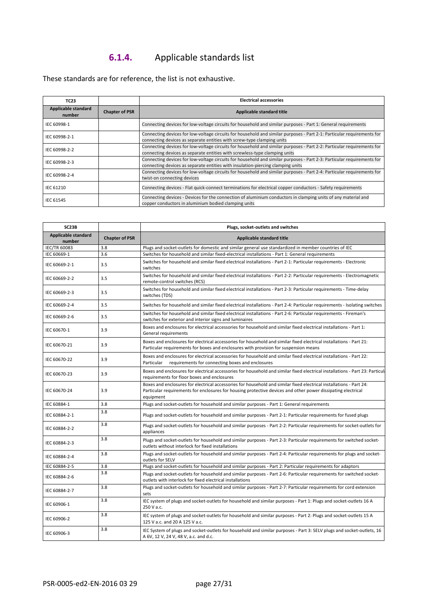# **6.1.4.** Applicable standards list

These standards are for reference, the list is not exhaustive.

| TC23                          |                       | <b>Electrical accessories</b>                                                                                                                                                                             |
|-------------------------------|-----------------------|-----------------------------------------------------------------------------------------------------------------------------------------------------------------------------------------------------------|
| Applicable standard<br>number | <b>Chapter of PSR</b> | Applicable standard title                                                                                                                                                                                 |
| IEC 60998-1                   |                       | Connecting devices for low-voltage circuits for household and similar purposes - Part 1: General requirements                                                                                             |
| IEC 60998-2-1                 |                       | Connecting devices for low-voltage circuits for household and similar purposes - Part 2-1: Particular requirements for<br>connecting devices as separate entities with screw-type clamping units          |
| IEC 60998-2-2                 |                       | Connecting devices for low-voltage circuits for household and similar purposes - Part 2-2: Particular requirements for<br>connecting devices as separate entities with screwless-type clamping units      |
| IEC 60998-2-3                 |                       | Connecting devices for low-voltage circuits for household and similar purposes - Part 2-3: Particular requirements for<br>connecting devices as separate entities with insulation-piercing clamping units |
| IEC 60998-2-4                 |                       | Connecting devices for low-voltage circuits for household and similar purposes - Part 2-4: Particular requirements for<br>twist-on connecting devices                                                     |
| IEC 61210                     |                       | Connecting devices - Flat quick-connect terminations for electrical copper conductors - Safety requirements                                                                                               |
| IEC 61545                     |                       | Connecting devices - Devices for the connection of aluminium conductors in clamping units of any material and<br>copper conductors in aluminium bodied clamping units                                     |

| SC23B                                |                       | Plugs, socket-outlets and switches                                                                                                                                                                                                               |  |
|--------------------------------------|-----------------------|--------------------------------------------------------------------------------------------------------------------------------------------------------------------------------------------------------------------------------------------------|--|
| <b>Applicable standard</b><br>number | <b>Chapter of PSR</b> | <b>Applicable standard title</b>                                                                                                                                                                                                                 |  |
| IEC/TR 60083                         | 3.8                   | Plugs and socket-outlets for domestic and similar general use standardized in member countries of IEC                                                                                                                                            |  |
| IEC 60669-1                          | 3.6                   | Switches for household and similar fixed-electrical installations - Part 1: General requirements                                                                                                                                                 |  |
| IEC 60669-2-1                        | 3.5                   | Switches for household and similar fixed electrical installations - Part 2-1: Particular requirements - Electronic<br>switches                                                                                                                   |  |
| IEC 60669-2-2                        | 3.5                   | Switches for household and similar fixed electrical installations - Part 2-2: Particular requirements - Electromagnetic<br>remote-control switches (RCS)                                                                                         |  |
| IEC 60669-2-3                        | 3.5                   | Switches for household and similar fixed electrical installations - Part 2-3: Particular requirements - Time-delay<br>switches (TDS)                                                                                                             |  |
| IEC 60669-2-4                        | 3.5                   | Switches for household and similar fixed electrical installations - Part 2-4: Particular requirements - Isolating switches                                                                                                                       |  |
| IEC 60669-2-6                        | 3.5                   | Switches for household and similar fixed electrical installations - Part 2-6: Particular requirements - Fireman's<br>switches for exterior and interior signs and luminaires                                                                     |  |
| IEC 60670-1                          | 3.9                   | Boxes and enclosures for electrical accessories for household and similar fixed electrical installations - Part 1:<br>General requirements                                                                                                       |  |
| IEC 60670-21                         | 3.9                   | Boxes and enclosures for electrical accessories for household and similar fixed electrical installations - Part 21:<br>Particular requirements for boxes and enclosures with provision for suspension means                                      |  |
| IEC 60670-22                         | 3.9                   | Boxes and enclosures for electrical accessories for household and similar fixed electrical installations - Part 22:<br>requirements for connecting boxes and enclosures<br>Particular                                                            |  |
| IEC 60670-23                         | 3.9                   | Boxes and enclosures for electrical accessories for household and similar fixed electrical installations - Part 23: Particul<br>requirements for floor boxes and enclosures                                                                      |  |
| IEC 60670-24                         | 3.9                   | Boxes and enclosures for electrical accessories for household and similar fixed electrical installations - Part 24:<br>Particular requirements for enclosures for housing protective devices and other power dissipating electrical<br>equipment |  |
| IEC 60884-1                          | 3.8                   | Plugs and socket-outlets for household and similar purposes - Part 1: General requirements                                                                                                                                                       |  |
| IEC 60884-2-1                        | 3.8                   | Plugs and socket-outlets for household and similar purposes - Part 2-1: Particular requirements for fused plugs                                                                                                                                  |  |
| IEC 60884-2-2                        | 3.8                   | Plugs and socket-outlets for household and similar purposes - Part 2-2: Particular requirements for socket-outlets for<br>appliances                                                                                                             |  |
| IEC 60884-2-3                        | 3.8                   | Plugs and socket-outlets for household and similar purposes - Part 2-3: Particular requirements for switched socket-<br>outlets without interlock for fixed installations                                                                        |  |
| IEC 60884-2-4                        | 3.8                   | Plugs and socket-outlets for household and similar purposes - Part 2-4: Particular requirements for plugs and socket-<br>outlets for SELV                                                                                                        |  |
| IEC 60884-2-5                        | 3.8                   | Plugs and socket-outlets for household and similar purposes - Part 2: Particular requirements for adaptors                                                                                                                                       |  |
| IEC 60884-2-6                        | 3.8                   | Plugs and socket-outlets for household and similar purposes - Part 2-6: Particular requirements for switched socket-<br>outlets with interlock for fixed electrical installations                                                                |  |
| IEC 60884-2-7                        | 3.8                   | Plugs and socket-outlets for household and similar purposes - Part 2-7: Particular requirements for cord extension<br>sets                                                                                                                       |  |
| IEC 60906-1                          | 3.8                   | IEC system of plugs and socket-outlets for household and similar purposes - Part 1: Plugs and socket-outlets 16 A<br>250 V a.c.                                                                                                                  |  |
| IEC 60906-2                          | 3.8                   | IEC system of plugs and socket-outlets for household and similar purposes - Part 2: Plugs and socket-outlets 15 A<br>125 V a.c. and 20 A 125 V a.c.                                                                                              |  |
| IEC 60906-3                          | 3.8                   | IEC System of plugs and socket-outlets for household and similar purposes - Part 3: SELV plugs and socket-outlets, 16<br>A 6V, 12 V, 24 V, 48 V, a.c. and d.c.                                                                                   |  |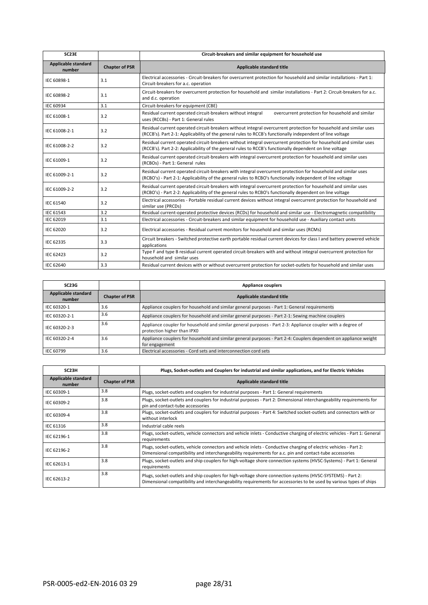| SC23E                         |                       | Circuit-breakers and similar equipment for household use                                                                                                                                                                       |
|-------------------------------|-----------------------|--------------------------------------------------------------------------------------------------------------------------------------------------------------------------------------------------------------------------------|
| Applicable standard<br>number | <b>Chapter of PSR</b> | Applicable standard title                                                                                                                                                                                                      |
| IEC 60898-1                   | 3.1                   | Electrical accessories - Circuit-breakers for overcurrent protection for household and similar installations - Part 1:<br>Circuit-breakers for a.c. operation                                                                  |
| IEC 60898-2                   | 3.1                   | Circuit-breakers for overcurrent protection for household and similar installations - Part 2: Circuit-breakers for a.c.<br>and d.c. operation                                                                                  |
| <b>IEC 60934</b>              | 3.1                   | Circuit-breakers for equipment (CBE)                                                                                                                                                                                           |
| IEC 61008-1                   | 3.2                   | Residual current operated circuit-breakers without integral<br>overcurrent protection for household and similar<br>uses (RCCBs) - Part 1: General rules                                                                        |
| IEC 61008-2-1                 | 3.2                   | Residual current operated circuit-breakers without integral overcurrent protection for household and similar uses<br>(RCCB's). Part 2-1: Applicability of the general rules to RCCB's functionally independent of line voltage |
| IEC 61008-2-2                 | 3.2                   | Residual current operated circuit-breakers without integral overcurrent protection for household and similar uses<br>(RCCB's). Part 2-2: Applicability of the general rules to RCCB's functionally dependent on line voltage   |
| IEC 61009-1                   | 3.2                   | Residual current operated circuit-breakers with integral overcurrent protection for household and similar uses<br>(RCBOs) - Part 1: General rules                                                                              |
| IEC 61009-2-1                 | 3.2                   | Residual current operated circuit-breakers with integral overcurrent protection for household and similar uses<br>(RCBO's) - Part 2-1: Applicability of the general rules to RCBO's functionally independent of line voltage   |
| IEC 61009-2-2                 | 3.2                   | Residual current operated circuit-breakers with integral overcurrent protection for household and similar uses<br>(RCBO's) - Part 2-2: Applicability of the general rules to RCBO's functionally dependent on line voltage     |
| IEC 61540                     | 3.2                   | Electrical accessories - Portable residual current devices without integral overcurrent protection for household and<br>similar use (PRCDs)                                                                                    |
| <b>IEC 61543</b>              | 3.2                   | Residual current-operated protective devices (RCDs) for household and similar use - Electromagnetic compatibility                                                                                                              |
| <b>IEC 62019</b>              | 3.1                   | Electrical accessories - Circuit-breakers and similar equipment for household use - Auxiliary contact units                                                                                                                    |
| <b>IEC 62020</b>              | 3.2                   | Electrical accessories - Residual current monitors for household and similar uses (RCMs)                                                                                                                                       |
| IEC 62335                     | 3.3                   | Circuit breakers - Switched protective earth portable residual current devices for class I and battery powered vehicle<br>applications                                                                                         |
| <b>IEC 62423</b>              | 3.2                   | Type F and type B residual current operated circuit-breakers with and without integral overcurrent protection for<br>household and similar uses                                                                                |
| <b>IEC 62640</b>              | 3.3                   | Residual current devices with or without overcurrent protection for socket-outlets for household and similar uses                                                                                                              |

| SC23G                         |                       | <b>Appliance couplers</b>                                                                                                                  |
|-------------------------------|-----------------------|--------------------------------------------------------------------------------------------------------------------------------------------|
| Applicable standard<br>number | <b>Chapter of PSR</b> | Applicable standard title                                                                                                                  |
| IEC 60320-1                   | 3.6                   | Appliance couplers for household and similar general purposes - Part 1: General requirements                                               |
| IEC 60320-2-1                 | 3.6                   | Appliance couplers for household and similar general purposes - Part 2-1: Sewing machine couplers                                          |
| IEC 60320-2-3                 | 3.6                   | Appliance coupler for household and similar general purposes - Part 2-3: Appliance coupler with a degree of<br>protection higher than IPXO |
| IEC 60320-2-4                 | 3.6                   | Appliance couplers for household and similar general purposes - Part 2-4: Couplers dependent on appliance weight<br>for engagement         |
| IEC 60799                     | 3.6                   | Electrical accessories - Cord sets and interconnection cord sets                                                                           |

| SC <sub>23H</sub>             |                       | Plugs, Socket-outlets and Couplers for industrial and similar applications, and for Electric Vehicles                                                                                                                            |
|-------------------------------|-----------------------|----------------------------------------------------------------------------------------------------------------------------------------------------------------------------------------------------------------------------------|
| Applicable standard<br>number | <b>Chapter of PSR</b> | Applicable standard title                                                                                                                                                                                                        |
| IEC 60309-1                   | 3.8                   | Plugs, socket-outlets and couplers for industrial purposes - Part 1: General requirements                                                                                                                                        |
| IEC 60309-2                   | 3.8                   | Plugs, socket-outlets and couplers for industrial purposes - Part 2: Dimensional interchangeability requirements for<br>pin and contact-tube accessories                                                                         |
| IEC 60309-4                   | 3.8                   | Plugs, socket-outlets and couplers for industrial purposes - Part 4: Switched socket-outlets and connectors with or<br>without interlock                                                                                         |
| IEC 61316                     | 3.8                   | Industrial cable reels                                                                                                                                                                                                           |
| IEC 62196-1                   | 3.8                   | Plugs, socket-outlets, vehicle connectors and vehicle inlets - Conductive charging of electric vehicles - Part 1: General<br>requirements                                                                                        |
| IEC 62196-2                   | 3.8                   | Plugs, socket-outlets, vehicle connectors and vehicle inlets - Conductive charging of electric vehicles - Part 2:<br>Dimensional compatibility and interchangeability requirements for a.c. pin and contact-tube accessories     |
| IEC 62613-1                   | 3.8                   | Plugs, socket-outlets and ship couplers for high-voltage shore connection systems (HVSC-Systems) - Part 1: General<br>requirements                                                                                               |
| IEC 62613-2                   | 3.8                   | Plugs, socket-outlets and ship couplers for high-voltage shore connection systems (HVSC-SYSTEMS) - Part 2:<br>Dimensional compatibility and interchangeability requirements for accessories to be used by various types of ships |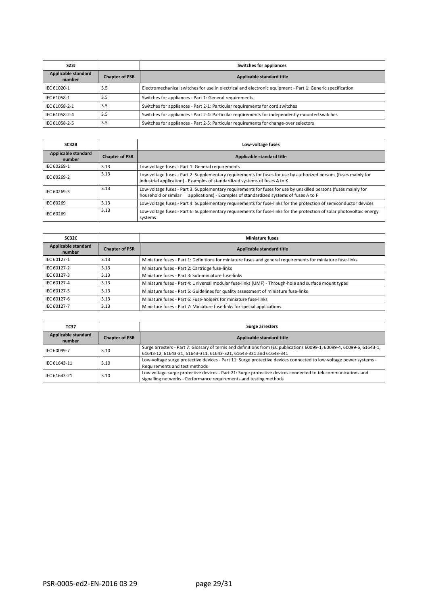| <b>S23J</b>                   |                       | Switches for appliances                                                                                   |
|-------------------------------|-----------------------|-----------------------------------------------------------------------------------------------------------|
| Applicable standard<br>number | <b>Chapter of PSR</b> | Applicable standard title                                                                                 |
| IEC 61020-1                   | 3.5                   | Electromechanical switches for use in electrical and electronic equipment - Part 1: Generic specification |
| IEC 61058-1                   | 3.5                   | Switches for appliances - Part 1: General requirements                                                    |
| IEC 61058-2-1                 | 3.5                   | Switches for appliances - Part 2-1: Particular requirements for cord switches                             |
| IEC 61058-2-4                 | 3.5                   | Switches for appliances - Part 2-4: Particular requirements for independently mounted switches            |
| IEC 61058-2-5                 | 3.5                   | Switches for appliances - Part 2-5: Particular requirements for change-over selectors                     |

| SC32B                         |                       | Low-voltage fuses                                                                                                                                                                                           |
|-------------------------------|-----------------------|-------------------------------------------------------------------------------------------------------------------------------------------------------------------------------------------------------------|
| Applicable standard<br>number | <b>Chapter of PSR</b> | Applicable standard title                                                                                                                                                                                   |
| IEC 60269-1                   | 3.13                  | Low-voltage fuses - Part 1: General requirements                                                                                                                                                            |
| IEC 60269-2                   | 3.13                  | Low-voltage fuses - Part 2: Supplementary requirements for fuses for use by authorized persons (fuses mainly for<br>industrial application) - Examples of standardized systems of fuses A to K              |
| IEC 60269-3                   | 3.13                  | Low-voltage fuses - Part 3: Supplementary requirements for fuses for use by unskilled persons (fuses mainly for<br>applications) - Examples of standardized systems of fuses A to F<br>household or similar |
| IEC 60269                     | 3.13                  | Low-voltage fuses - Part 4: Supplementary requirements for fuse-links for the protection of semiconductor devices                                                                                           |
| IEC 60269                     | 3.13                  | Low-voltage fuses - Part 6: Supplementary requirements for fuse-links for the protection of solar photovoltaic energy<br>systems                                                                            |

| SC32C                         |                       | <b>Miniature fuses</b>                                                                                      |
|-------------------------------|-----------------------|-------------------------------------------------------------------------------------------------------------|
| Applicable standard<br>number | <b>Chapter of PSR</b> | Applicable standard title                                                                                   |
| IEC 60127-1                   | 3.13                  | Miniature fuses - Part 1: Definitions for miniature fuses and general requirements for miniature fuse-links |
| IEC 60127-2                   | 3.13                  | Miniature fuses - Part 2: Cartridge fuse-links                                                              |
| IEC 60127-3                   | 3.13                  | Miniature fuses - Part 3: Sub-miniature fuse-links                                                          |
| IEC 60127-4                   | 3.13                  | Miniature fuses - Part 4: Universal modular fuse-links (UMF) - Through-hole and surface mount types         |
| IEC 60127-5                   | 3.13                  | Miniature fuses - Part 5: Guidelines for quality assessment of miniature fuse-links                         |
| IEC 60127-6                   | 3.13                  | Miniature fuses - Part 6: Fuse-holders for miniature fuse-links                                             |
| IEC 60127-7                   | 3.13                  | Miniature fuses - Part 7: Miniature fuse-links for special applications                                     |

| <b>TC37</b>                   |                       | Surge arresters                                                                                                                                                                            |
|-------------------------------|-----------------------|--------------------------------------------------------------------------------------------------------------------------------------------------------------------------------------------|
| Applicable standard<br>number | <b>Chapter of PSR</b> | Applicable standard title                                                                                                                                                                  |
| IEC 60099-7                   | 3.10                  | Surge arresters - Part 7: Glossary of terms and definitions from IEC publications 60099-1, 60099-4, 60099-6, 61643-1,<br>61643-12, 61643-21, 61643-311, 61643-321, 61643-331 and 61643-341 |
| IEC 61643-11                  | 3.10                  | Low-voltage surge protective devices - Part 11: Surge protective devices connected to low-voltage power systems -<br>Requirements and test methods                                         |
| IEC 61643-21                  | 3.10                  | Low voltage surge protective devices - Part 21: Surge protective devices connected to telecommunications and<br>signalling networks - Performance requirements and testing methods         |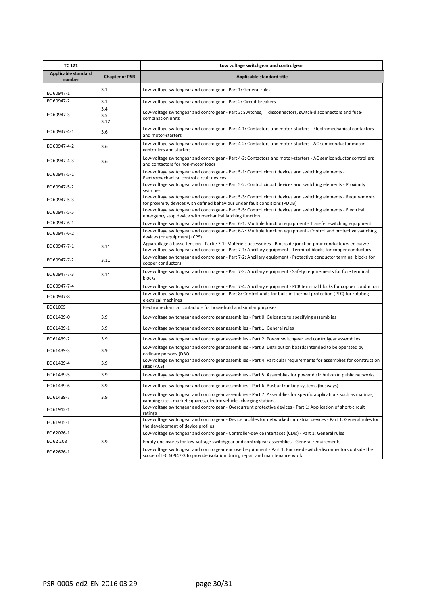| <b>TC 121</b>                 |                       | Low voltage switchgear and controlgear                                                                                                                                                                                             |
|-------------------------------|-----------------------|------------------------------------------------------------------------------------------------------------------------------------------------------------------------------------------------------------------------------------|
| Applicable standard<br>number | <b>Chapter of PSR</b> | Applicable standard title                                                                                                                                                                                                          |
| IEC 60947-1                   | 3.1                   | Low-voltage switchgear and controlgear - Part 1: General rules                                                                                                                                                                     |
| IEC 60947-2                   | 3.1                   | Low-voltage switchgear and controlgear - Part 2: Circuit-breakers                                                                                                                                                                  |
| IEC 60947-3                   | 3.4<br>3.5<br>3.12    | Low-voltage switchgear and controlgear - Part 3: Switches, disconnectors, switch-disconnectors and fuse-<br>combination units                                                                                                      |
| IEC 60947-4-1                 | 3.6                   | Low-voltage switchgear and controlgear - Part 4-1: Contactors and motor-starters - Electromechanical contactors<br>and motor-starters                                                                                              |
| IEC 60947-4-2                 | 3.6                   | Low-voltage switchgear and controlgear - Part 4-2: Contactors and motor-starters - AC semiconductor motor<br>controllers and starters                                                                                              |
| IEC 60947-4-3                 | 3.6                   | Low-voltage switchgear and controlgear - Part 4-3: Contactors and motor-starters - AC semiconductor controllers<br>and contactors for non-motor loads                                                                              |
| IEC 60947-5-1                 |                       | Low-voltage switchgear and controlgear - Part 5-1: Control circuit devices and switching elements -<br>Electromechanical control circuit devices                                                                                   |
| IEC 60947-5-2                 |                       | Low-voltage switchgear and controlgear - Part 5-2: Control circuit devices and switching elements - Proximity<br>switches                                                                                                          |
| IEC 60947-5-3                 |                       | Low-voltage switchgear and controlgear - Part 5-3: Control circuit devices and switching elements - Requirements<br>for proximity devices with defined behaviour under fault conditions (PDDB)                                     |
| IEC 60947-5-5                 |                       | Low-voltage switchgear and controlgear - Part 5-5: Control circuit devices and switching elements - Electrical<br>emergency stop device with mechanical latching function                                                          |
| IEC 60947-6-1                 |                       | Low-voltage switchgear and controlgear - Part 6-1: Multiple function equipment - Transfer switching equipment                                                                                                                      |
| IEC 60947-6-2                 |                       | Low-voltage switchgear and controlgear - Part 6-2: Multiple function equipment - Control and protective switching<br>devices (or equipment) (CPS)                                                                                  |
| IEC 60947-7-1                 | 3.11                  | Appareillage à basse tension - Partie 7-1: Matériels accessoires - Blocks de jonction pour conducteurs en cuivre<br>Low-voltage switchgear and controlgear - Part 7-1: Ancillary equipment - Terminal blocks for copper conductors |
| IEC 60947-7-2                 | 3.11                  | Low-voltage switchgear and controlgear - Part 7-2: Ancillary equipment - Protective conductor terminal blocks for<br>copper conductors                                                                                             |
| IEC 60947-7-3                 | 3.11                  | Low-voltage switchgear and controlgear - Part 7-3: Ancillary equipment - Safety requirements for fuse terminal<br>blocks                                                                                                           |
| IEC 60947-7-4                 |                       | Low-voltage switchgear and controlgear - Part 7-4: Ancillary equipment - PCB terminal blocks for copper conductors                                                                                                                 |
| IEC 60947-8                   |                       | Low-voltage switchgear and controlgear - Part 8: Control units for built-in thermal protection (PTC) for rotating<br>electrical machines                                                                                           |
| IEC 61095                     |                       | Electromechanical contactors for household and similar purposes                                                                                                                                                                    |
| IEC 61439-0                   | 3.9                   | Low-voltage switchgear and controlgear assemblies - Part 0: Guidance to specifying assemblies                                                                                                                                      |
| IEC 61439-1                   | 3.9                   | Low-voltage switchgear and controlgear assemblies - Part 1: General rules                                                                                                                                                          |
| IEC 61439-2                   | 3.9                   | Low-voltage switchgear and controlgear assemblies - Part 2: Power switchgear and controlgear assemblies                                                                                                                            |
| IEC 61439-3                   | 3.9                   | Low-voltage switchgear and controlgear assemblies - Part 3: Distribution boards intended to be operated by<br>ordinary persons (DBO)                                                                                               |
| IEC 61439-4                   | 3.9                   | Low-voltage switchgear and controlgear assemblies - Part 4: Particular requirements for assemblies for construction<br>sites (ACS)                                                                                                 |
| IEC 61439-5                   | 3.9                   | Low-voltage switchgear and controlgear assemblies - Part 5: Assemblies for power distribution in public networks                                                                                                                   |
| IEC 61439-6                   | 3.9                   | Low-voltage switchgear and controlgear assemblies - Part 6: Busbar trunking systems (busways)                                                                                                                                      |
| IEC 61439-7                   | 3.9                   | Low-voltage switchgear and controlgear assemblies - Part 7: Assemblies for specific applications such as marinas,<br>camping sites, market squares, electric vehicles charging stations                                            |
| IEC 61912-1                   |                       | Low-voltage switchgear and controlgear - Overcurrent protective devices - Part 1: Application of short-circuit<br>ratings                                                                                                          |
| IEC 61915-1                   |                       | Low-voltage switchgear and controlgear - Device profiles for networked industrial devices - Part 1: General rules for<br>the development of device profiles                                                                        |
| IEC 62026-1                   |                       | Low-voltage switchgear and controlgear - Controller-device interfaces (CDIs) - Part 1: General rules                                                                                                                               |
| IEC 62 208                    | 3.9                   | Empty enclosures for low-voltage switchgear and controlgear assemblies - General requirements                                                                                                                                      |
| IEC 62626-1                   |                       | Low-voltage switchgear and controlgear enclosed equipment - Part 1: Enclosed switch-disconnectors outside the<br>scope of IEC 60947-3 to provide isolation during repair and maintenance work                                      |